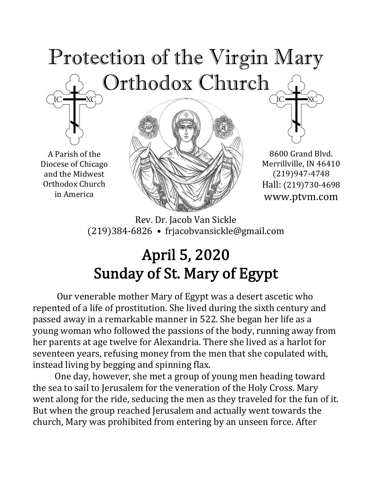# Protection of the Virgin Mary Orthodox Church  $\rm ^{^{\prime}C}$   $\overline{\phantom{1}}$



A Parish of the Diocese of Chicago and the Midwest Orthodox Church in America





Rev. Dr. Jacob Van Sickle (219)384-6826 • frjacobvansickle@gmail.com

# April 5, 2020 Sunday of St. Mary of Egypt

Our venerable mother Mary of Egypt was a desert ascetic who repented of a life of prostitution. She lived during the sixth century and passed away in a remarkable manner in 522. She began her life as a young woman who followed the passions of the body, running away from her parents at age twelve for Alexandria. There she lived as a harlot for seventeen years, refusing money from the men that she copulated with, instead living by begging and spinning flax.

One day, however, she met a group of young men heading toward the sea to sail to Jerusalem for the veneration of the Holy Cross. Mary went along for the ride, seducing the men as they traveled for the fun of it. But when the group reached Jerusalem and actually went towards the church, Mary was prohibited from entering by an unseen force. After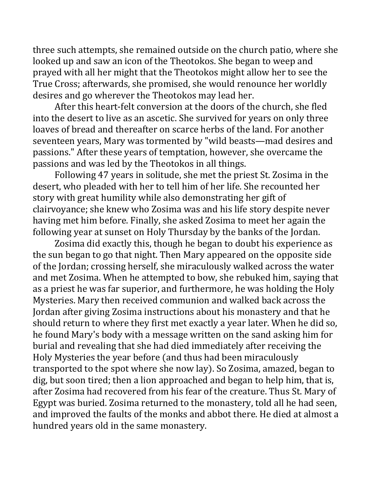three such attempts, she remained outside on the church patio, where she looked up and saw an icon of the Theotokos. She began to weep and prayed with all her might that the Theotokos might allow her to see the True Cross; afterwards, she promised, she would renounce her worldly desires and go wherever the Theotokos may lead her.

After this heart-felt conversion at the doors of the church, she fled into the desert to live as an ascetic. She survived for years on only three loaves of bread and thereafter on scarce herbs of the land. For another seventeen years, Mary was tormented by "wild beasts—mad desires and passions." After these years of temptation, however, she overcame the passions and was led by the Theotokos in all things.

Following 47 years in solitude, she met the priest St. Zosima in the desert, who pleaded with her to tell him of her life. She recounted her story with great humility while also demonstrating her gift of clairvoyance; she knew who Zosima was and his life story despite never having met him before. Finally, she asked Zosima to meet her again the following year at sunset on Holy Thursday by the banks of the Jordan.

Zosima did exactly this, though he began to doubt his experience as the sun began to go that night. Then Mary appeared on the opposite side of the Jordan; crossing herself, she miraculously walked across the water and met Zosima. When he attempted to bow, she rebuked him, saying that as a priest he was far superior, and furthermore, he was holding the Holy Mysteries. Mary then received communion and walked back across the Jordan after giving Zosima instructions about his monastery and that he should return to where they first met exactly a year later. When he did so, he found Mary's body with a message written on the sand asking him for burial and revealing that she had died immediately after receiving the Holy Mysteries the year before (and thus had been miraculously transported to the spot where she now lay). So Zosima, amazed, began to dig, but soon tired; then a lion approached and began to help him, that is, after Zosima had recovered from his fear of the creature. Thus St. Mary of Egypt was buried. Zosima returned to the monastery, told all he had seen, and improved the faults of the monks and abbot there. He died at almost a hundred years old in the same monastery.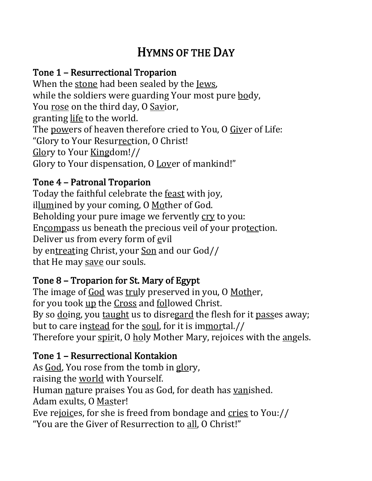## HYMNS OF THE DAY

#### Tone 1 - Resurrectional Troparion

When the stone had been sealed by the lews, while the soldiers were guarding Your most pure body, You rose on the third day, O Savior, granting life to the world. The powers of heaven therefore cried to You, O Giver of Life: "Glory to Your Resurrection, O Christ! Glory to Your Kingdom!// Glory to Your dispensation, O Lover of mankind!"

#### Tone 4 - Patronal Troparion

Today the faithful celebrate the <u>feast</u> with joy, illumined by your coming,  $O$  Mother of God. Beholding your pure image we fervently cry to you: Encompass us beneath the precious veil of your protection. Deliver us from every form of  $ev$ il by entreating Christ, your Son and our God// that He may save our souls.

#### Tone 8 – Troparion for St. Mary of Egypt

The image of God was truly preserved in you, O Mother, for you took up the Cross and followed Christ. By so doing, you taught us to disregard the flesh for it passes away; but to care instead for the soul, for it is immortal.// Therefore your spirit, O holy Mother Mary, rejoices with the angels.

#### Tone 1 – Resurrectional Kontakion

As God, You rose from the tomb in glory, raising the world with Yourself. Human nature praises You as God, for death has vanished. Adam exults, O Master! Eve rejoices, for she is freed from bondage and cries to You:// "You are the Giver of Resurrection to all, O Christ!"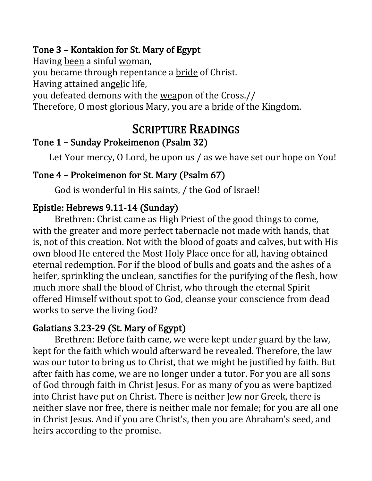#### Tone 3 – Kontakion for St. Mary of Egypt

Having been a sinful woman,

you became through repentance a bride of Christ.

Having attained angelic life,

you defeated demons with the weapon of the Cross.//

Therefore, O most glorious Mary, you are a bride of the Kingdom.

## **SCRIPTURE READINGS**

#### Tone 1 - Sunday Prokeimenon (Psalm 32)

Let Your mercy,  $0$  Lord, be upon us / as we have set our hope on You!

#### Tone 4 – Prokeimenon for St. Mary (Psalm 67)

God is wonderful in His saints, / the God of Israel!

#### Epistle: Hebrews 9.11-14 (Sunday)

Brethren: Christ came as High Priest of the good things to come, with the greater and more perfect tabernacle not made with hands, that is, not of this creation. Not with the blood of goats and calves, but with His own blood He entered the Most Holy Place once for all, having obtained eternal redemption. For if the blood of bulls and goats and the ashes of a heifer, sprinkling the unclean, sanctifies for the purifying of the flesh, how much more shall the blood of Christ, who through the eternal Spirit offered Himself without spot to God, cleanse your conscience from dead works to serve the living God?

#### Galatians 3.23-29 (St. Mary of Egypt)

Brethren: Before faith came, we were kept under guard by the law, kept for the faith which would afterward be revealed. Therefore, the law was our tutor to bring us to Christ, that we might be justified by faith. But after faith has come, we are no longer under a tutor. For you are all sons of God through faith in Christ Jesus. For as many of you as were baptized into Christ have put on Christ. There is neither Jew nor Greek, there is neither slave nor free, there is neither male nor female; for you are all one in Christ Jesus. And if you are Christ's, then you are Abraham's seed, and heirs according to the promise.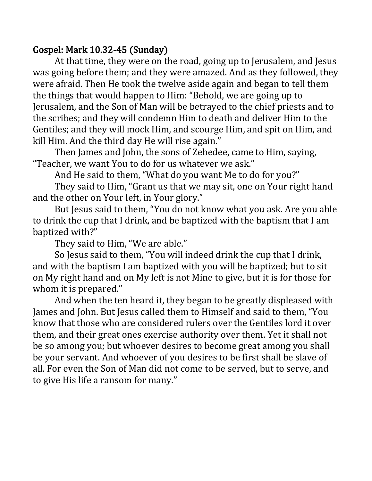#### Gospel: Mark 10.32-45 (Sunday)

At that time, they were on the road, going up to Jerusalem, and Jesus was going before them; and they were amazed. And as they followed, they were afraid. Then He took the twelve aside again and began to tell them the things that would happen to Him: "Behold, we are going up to Jerusalem, and the Son of Man will be betrayed to the chief priests and to the scribes; and they will condemn Him to death and deliver Him to the Gentiles; and they will mock Him, and scourge Him, and spit on Him, and kill Him. And the third day He will rise again."

Then James and John, the sons of Zebedee, came to Him, saying, "Teacher, we want You to do for us whatever we ask."

And He said to them, "What do you want Me to do for you?"

They said to Him, "Grant us that we may sit, one on Your right hand and the other on Your left, in Your glory."

But Jesus said to them, "You do not know what you ask. Are you able to drink the cup that I drink, and be baptized with the baptism that I am baptized with?"

They said to Him, "We are able."

So Jesus said to them, "You will indeed drink the cup that I drink, and with the baptism I am baptized with you will be baptized; but to sit on My right hand and on My left is not Mine to give, but it is for those for whom it is prepared."

And when the ten heard it, they began to be greatly displeased with James and John. But Jesus called them to Himself and said to them, "You know that those who are considered rulers over the Gentiles lord it over them, and their great ones exercise authority over them. Yet it shall not be so among you; but whoever desires to become great among you shall be your servant. And whoever of you desires to be first shall be slave of all. For even the Son of Man did not come to be served, but to serve, and to give His life a ransom for many."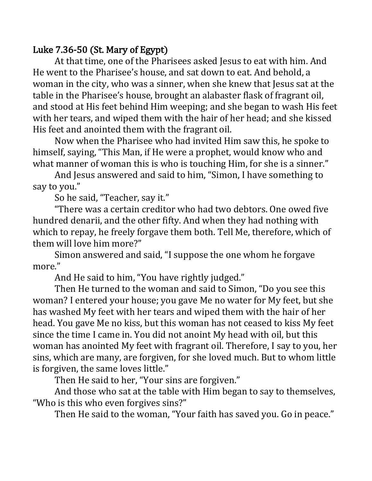#### Luke 7.36-50 (St. Mary of Egypt)

At that time, one of the Pharisees asked Jesus to eat with him. And He went to the Pharisee's house, and sat down to eat. And behold, a woman in the city, who was a sinner, when she knew that Jesus sat at the table in the Pharisee's house, brought an alabaster flask of fragrant oil, and stood at His feet behind Him weeping; and she began to wash His feet with her tears, and wiped them with the hair of her head; and she kissed His feet and anointed them with the fragrant oil.

Now when the Pharisee who had invited Him saw this, he spoke to himself, saying, "This Man, if He were a prophet, would know who and what manner of woman this is who is touching Him, for she is a sinner."

And Jesus answered and said to him, "Simon, I have something to say to you."

So he said, "Teacher, say it."

"There was a certain creditor who had two debtors. One owed five hundred denarii, and the other fifty. And when they had nothing with which to repay, he freely forgave them both. Tell Me, therefore, which of them will love him more?"

Simon answered and said, "I suppose the one whom he forgave more." 

And He said to him, "You have rightly judged."

Then He turned to the woman and said to Simon, "Do you see this woman? I entered your house; you gave Me no water for My feet, but she has washed My feet with her tears and wiped them with the hair of her head. You gave Me no kiss, but this woman has not ceased to kiss My feet since the time I came in. You did not anoint My head with oil, but this woman has anointed My feet with fragrant oil. Therefore, I say to you, her sins, which are many, are forgiven, for she loved much. But to whom little is forgiven, the same loves little."

Then He said to her, "Your sins are forgiven."

And those who sat at the table with Him began to say to themselves, "Who is this who even forgives sins?"

Then He said to the woman, "Your faith has saved you. Go in peace."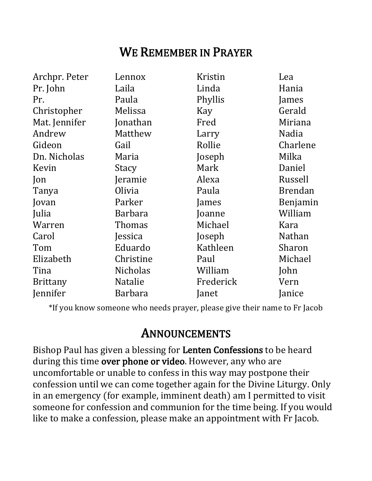## WE REMEMBER IN PRAYER

| Archpr. Peter   | Lennox          | Kristin   | Lea            |
|-----------------|-----------------|-----------|----------------|
| Pr. John        | Laila           | Linda     | Hania          |
| Pr.             | Paula           | Phyllis   | James          |
| Christopher     | Melissa         | Kay       | Gerald         |
| Mat. Jennifer   | Jonathan        | Fred      | Miriana        |
| Andrew          | Matthew         | Larry     | <b>Nadia</b>   |
| Gideon          | Gail            | Rollie    | Charlene       |
| Dn. Nicholas    | Maria           | Joseph    | Milka          |
| Kevin           | Stacy           | Mark      | Daniel         |
| Jon             | Jeramie         | Alexa     | Russell        |
| Tanya           | Olivia          | Paula     | <b>Brendan</b> |
| Jovan           | Parker          | James     | Benjamin       |
| Julia           | <b>Barbara</b>  | Joanne    | William        |
| Warren          | <b>Thomas</b>   | Michael   | Kara           |
| Carol           | Jessica         | Joseph    | <b>Nathan</b>  |
| Tom             | Eduardo         | Kathleen  | Sharon         |
| Elizabeth       | Christine       | Paul      | Michael        |
| Tina            | <b>Nicholas</b> | William   | John           |
| <b>Brittany</b> | Natalie         | Frederick | Vern           |
| Jennifer        | <b>Barbara</b>  | Janet     | Janice         |

\*If you know someone who needs prayer, please give their name to Fr Jacob

#### **ANNOUNCEMENTS**

Bishop Paul has given a blessing for Lenten Confessions to be heard during this time **over phone or video**. However, any who are uncomfortable or unable to confess in this way may postpone their confession until we can come together again for the Divine Liturgy. Only in an emergency (for example, imminent death) am I permitted to visit someone for confession and communion for the time being. If you would like to make a confession, please make an appointment with Fr Jacob.